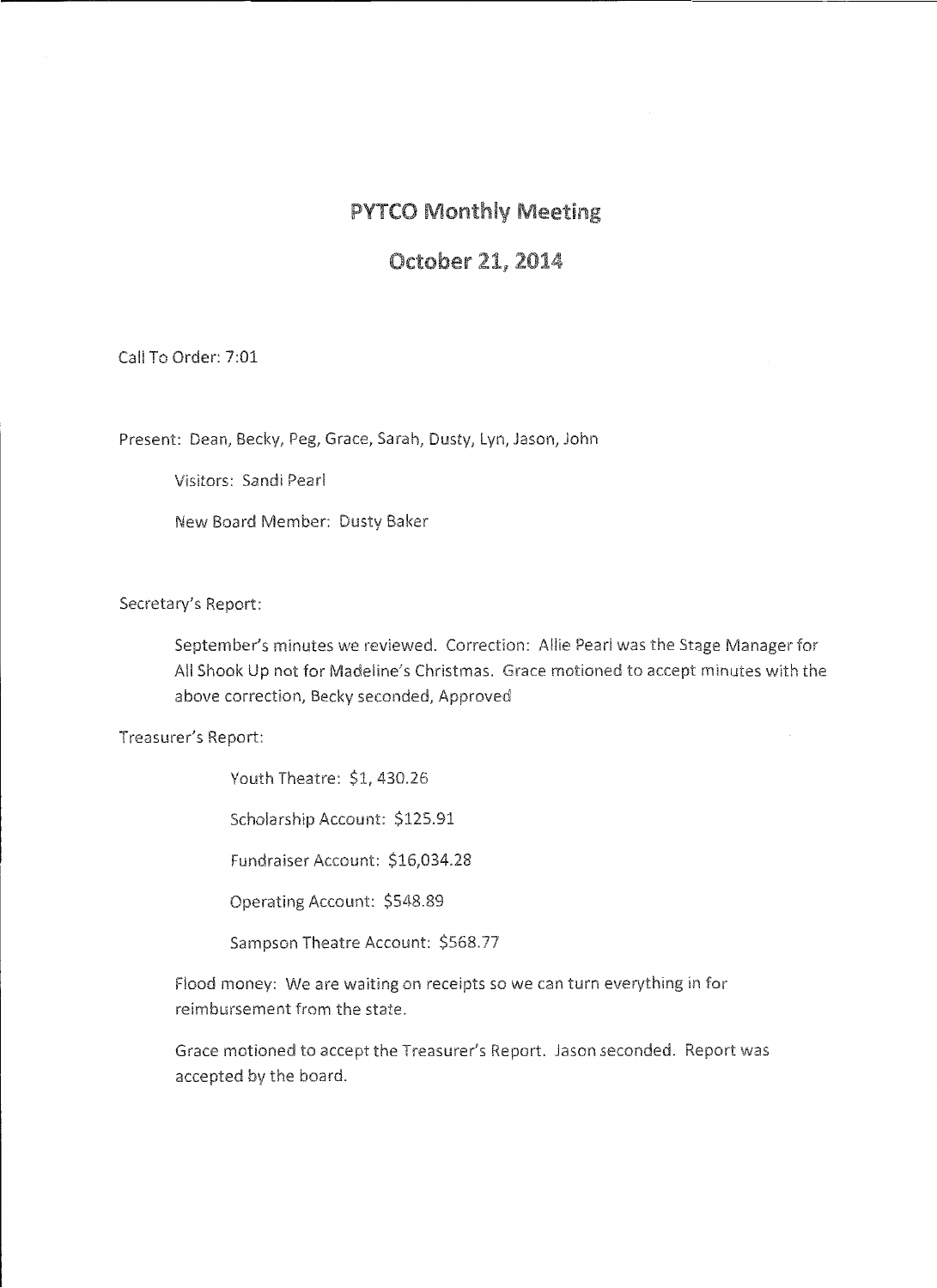#### PYTCO Monthly Meeting

#### October 21, 2014

Call To Order: 7:01

Present: Dean, Becky, Peg, Grace, Sarah, Dusty, Lyn, Jason, John

Visitors: Sandi Pearl

New Board Member: Dusty Baker

Secretary's Report:

September's minutes we reviewed. Correction: Allie Pearl was the Stage Manager for All Shook Up not for Madeline's Christmas. Grace motioned to accept minutes with the above correction, Becky seconded, Approved

Treasurer's Report:

Youth Theatre: \$1, 430.26

Scholarship Account: \$125.91

Fundraiser Account: \$16,034.28

Operating Account: \$548.89

Sampson Theatre Account: \$568.77

Flood money: We are waiting on receipts so we can turn everything in for reimbursement from the state.

Grace motioned to accept the Treasurer's Report. Jason seconded. Report was accepted by the board.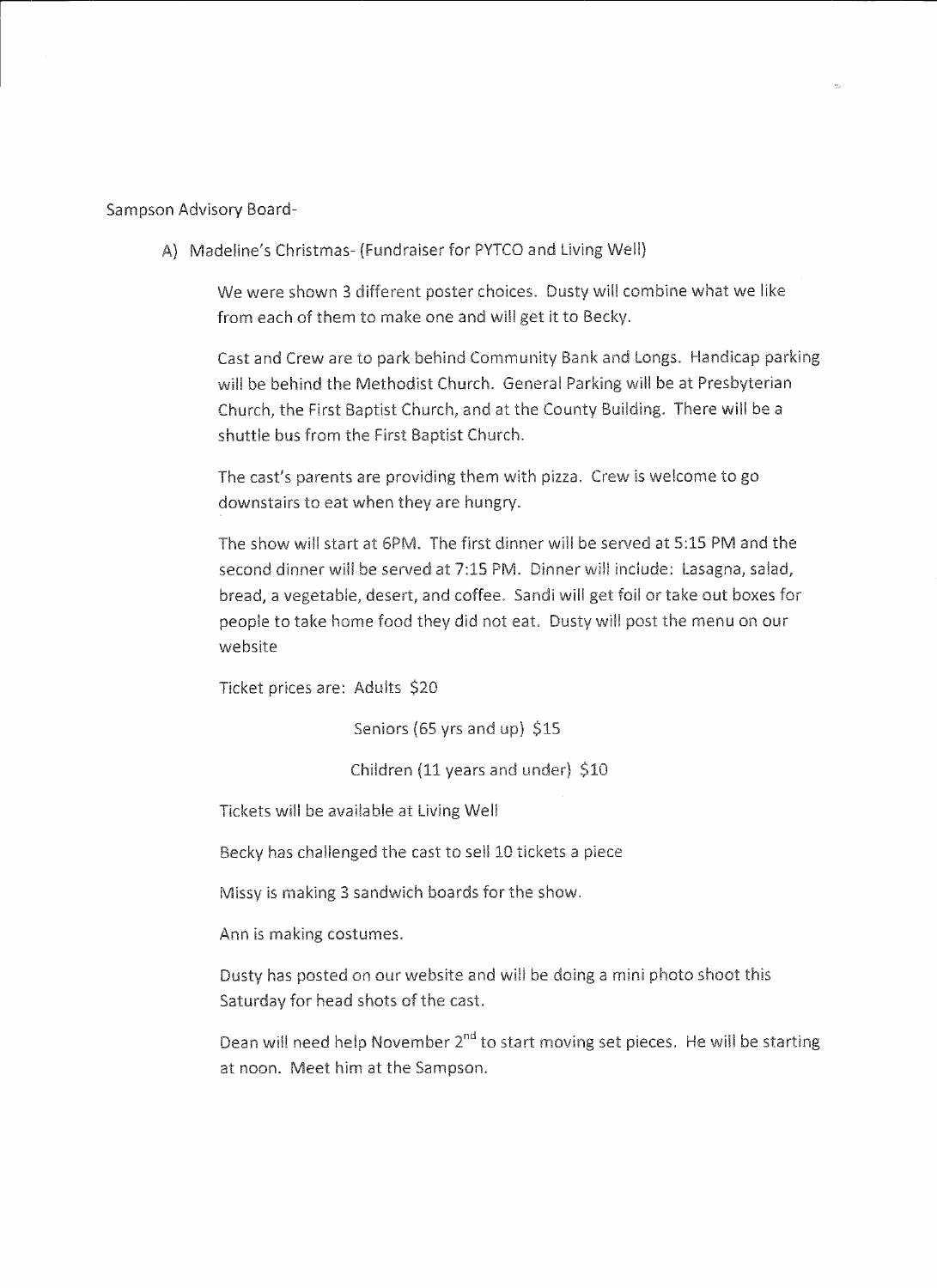Sampson Advisory Board-

A) Madeline's Christmas- (Fundraiser for PYTCO and Living Well)

We were shown 3 different poster choices. Dusty will combine what we like from each of them to make one and will get it to Becky.

Cast and Crew are to park behind Community Bank and Longs. Handicap parking will be behind the Methodist Church. General Parking will be at Presbyterian Church, the First Baptist Church, and at the County Building. There will be a shuttle bus from the First Baptist Church.

The cast's parents are providing them with pizza. Crew is welcome to go downstairs to eat when they are hungry.

The show will start at 6PM. The first dinner will be served at 5:15 PM and the second dinner will be served at 7:15 PM. Dinner will include: Lasagna, salad, bread, a vegetable, desert, and coffee. Sandi will get foil or take out boxes for people to take home food they did not eat. Dusty will post the menu on our website

Ticket prices are: Adults \$20

Seniors (65 yrs and up) \$15

Children (11 years and under)  $$10$ 

Tickets will be avaiiable at Living Well

Becky has challenged the cast to sell 10 tickets a piece

Missy is making 3 sandwich boards for the show.

Ann is making costumes.

Dusty has posted on our website and will be doing a mini photo shoot this Saturday for head shots of the cast.

Dean will need help November 2<sup>nd</sup> to start moving set pieces. He will be starting at noon. Meet him at the Sampson.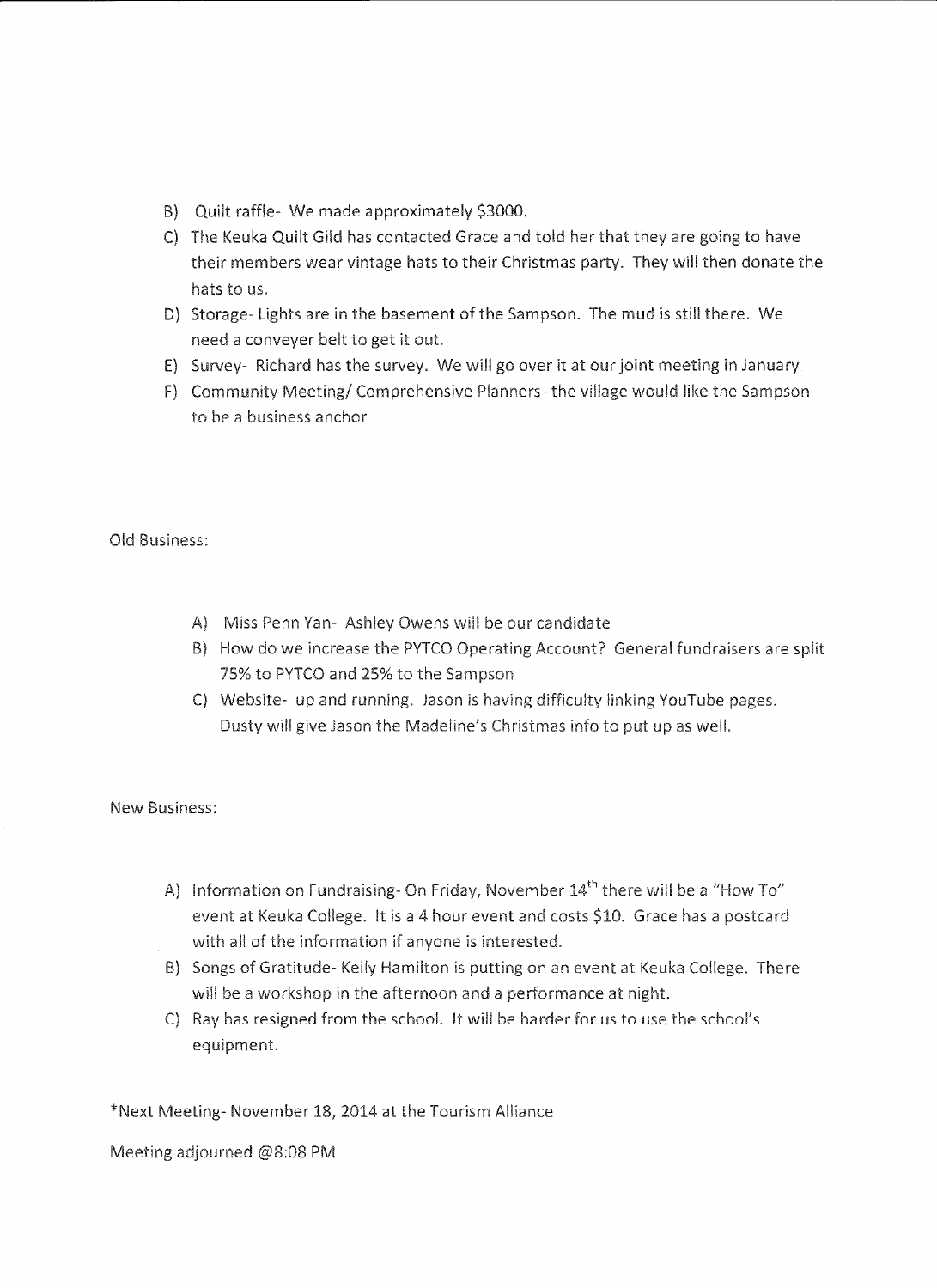- B) Quilt raffle- We made approximately \$3000.
- C) The Keuka Quilt Gild has contacted Grace and told her that they are going to have their members wear vintage hats to their Christmas party. They will then donate the hats to us.
- D) Storage- Lights are in the basement of the Sampson. The mud is still there. We need a conveyer belt to get it out.
- E) Survey- Richard has the survey. We will go over it at our joint meeting in January
- F) Community Meeting/ Comprehensive Planners- the village would like the Sampson to be a business anchor

Old Business:

- A} Miss Penn Yan- Ashley Owens will be our candidate
- B) How do we increase the PYTCO Operating Account? General fundraisers are split 75% to PYTCO and 25% to the Sampson
- C) Website- up and running. Jason is having difficulty linking YouTube pages. Dusty will give Jason the Madeline's Christmas info to put up as well.

New Business:

- A) Information on Fundraising- On Friday, November  $14<sup>th</sup>$  there will be a "How To" event at Keuka College. It is a 4 hour event and costs \$10. Grace has a postcard with all of the information if anyone is interested.
- B) Songs of Gratitude- Kelly Hamilton is putting on an event at Keuka College. There will be a workshop in the afternoon and a performance at night.
- C) Ray has resigned from the school. It will be harder for us to use the school's equipment.

\*Next Meeting- November 18, 2014 at the Tourism Alliance

Meeting adjourned @8:08 PM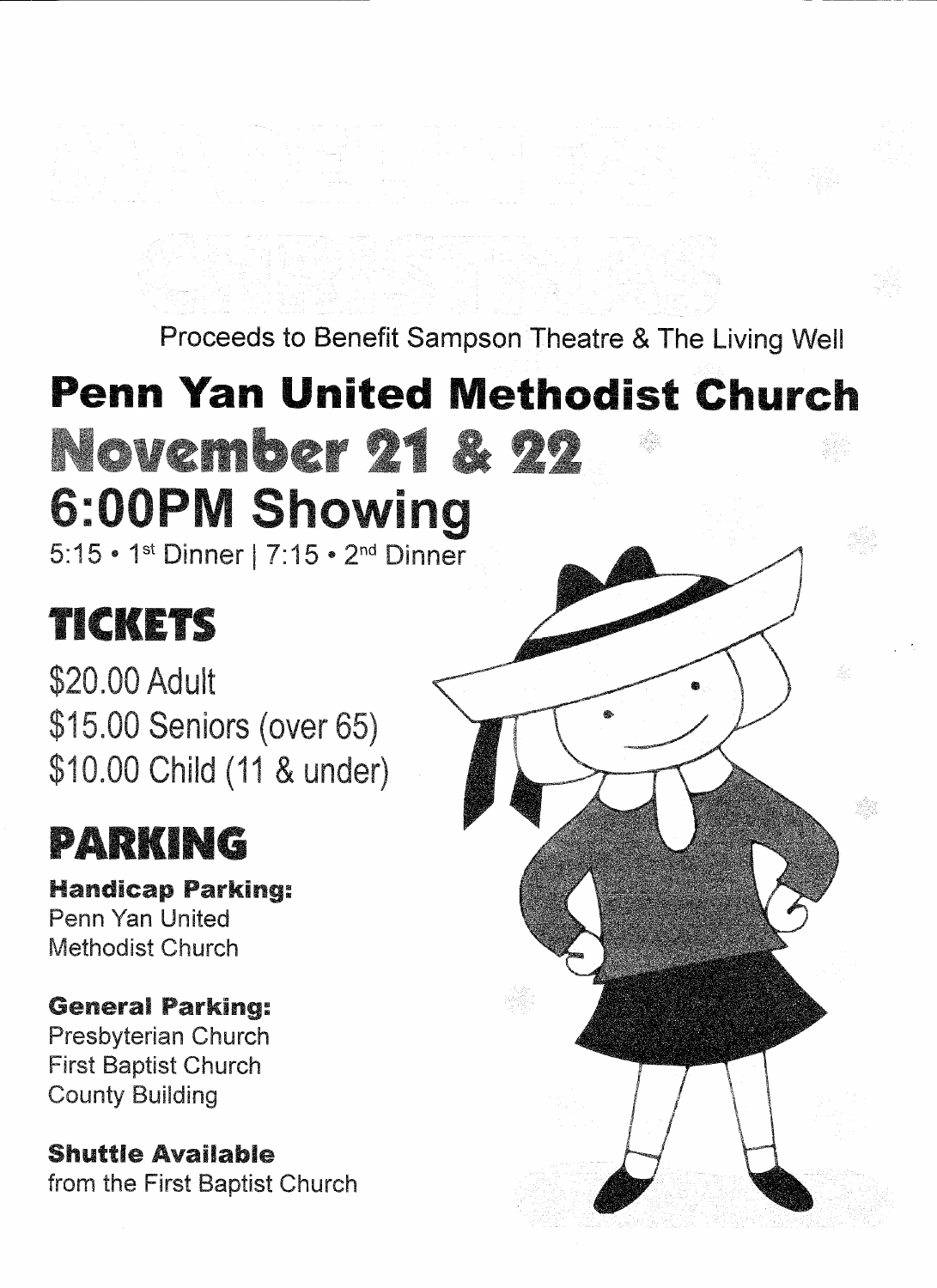Proceeds to Benefit Sampson Theatre & The Living Well

# **Penn Yan United Methodist Church November 21 & 22 :0 P howing**

5: 15 ° 1st Dinner I 7: 15 • 2nd Dinner

## TICKETS

\$20.00 Adult \$15.00 Seniors (over 65) \$10.00 Child (11 & under)

# PARKING

Handicap Parking: Penn Yan United Methodist Church

### General Parking:

Presbyterian Church First Baptist Church County Building

### Shuttle Available

from the First Baptist Church